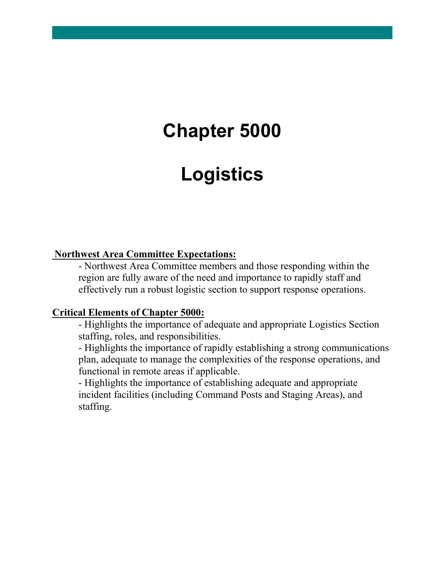# **Chapter 5000**

# **Logistics**

#### **Northwest Area Committee Expectations:**

- Northwest Area Committee members and those responding within the region are fully aware of the need and importance to rapidly staff and effectively run a robust logistic section to support response operations.

#### **Critical Elements of Chapter 5000:**

- Highlights the importance of adequate and appropriate Logistics Section staffing, roles, and responsibilities.

- Highlights the importance of rapidly establishing a strong communications plan, adequate to manage the complexities of the response operations, and functional in remote areas if applicable.

- Highlights the importance of establishing adequate and appropriate incident facilities (including Command Posts and Staging Areas), and staffing.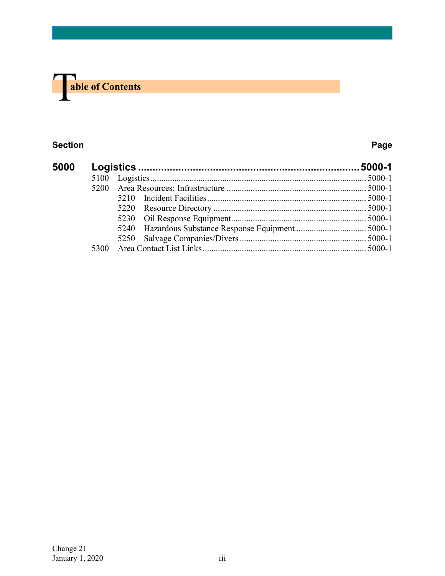

#### **Section Page**

| 5000 |      |  |
|------|------|--|
|      | 5100 |  |
|      |      |  |
|      |      |  |
|      |      |  |
|      |      |  |
|      |      |  |
|      |      |  |
|      |      |  |